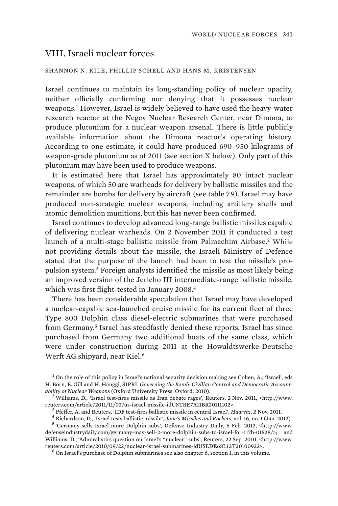## VIII. Israeli nuclear forces

## SHANNON N. KILE, PHILLIP SCHELL AND HANS M. KRISTENSEN

Israel continues to maintain its long-standing policy of nuclear opacity, neither officially confirming nor denying that it possesses nuclear weapons.<sup>1</sup> However, Israel is widely believed to have used the heavy-water research reactor at the Negev Nuclear Research Center, near Dimona, to produce plutonium for a nuclear weapon arsenal. There is little publicly available information about the Dimona reactor's operating history. According to one estimate, it could have produced 690–950 kilograms of weapon-grade plutonium as of 2011 (see section X below). Only part of this plutonium may have been used to produce weapons.

It is estimated here that Israel has approximately 80 intact nuclear weapons, of which 50 are warheads for delivery by ballistic missiles and the remainder are bombs for delivery by aircraft (see table 7.9). Israel may have produced non-strategic nuclear weapons, including artillery shells and atomic demolition munitions, but this has never been confirmed.

Israel continues to develop advanced long-range ballistic missiles capable of delivering nuclear warheads. On 2 November 2011 it conducted a test launch of a multi-stage ballistic missile from Palmachim Airbase.<sup>2</sup> While not providing details about the missile, the Israeli Ministry of Defence stated that the purpose of the launch had been to test the missile's propulsion system.<sup>3</sup> Foreign analysts identified the missile as most likely being an improved version of the Jericho III intermediate-range ballistic missile, which was first flight-tested in January 2008.<sup>4</sup>

There has been considerable speculation that Israel may have developed a nuclear-capable sea-launched cruise missile for its current fleet of three Type 800 Dolphin class diesel-electric submarines that were purchased from Germany.<sup>5</sup> Israel has steadfastly denied these reports. Israel has since purchased from Germany two additional boats of the same class, which were under construction during 2011 at the Howaldtswerke-Deutsche Werft AG shipyard, near Kiel.<sup>6</sup>

<sup>&</sup>lt;sup>1</sup> On the role of this policy in Israel's national security decision making see Cohen, A., 'Israel', eds H. Born, B. Gill and H. Hänggi, SIPRI, *Governing the Bomb: Civilian Control and Democratic Accountability of Nuclear Weapons* (Oxford University Press: Oxford, 2010). <sup>2</sup>

<sup>&</sup>lt;sup>2</sup> Williams, D., 'Israel test-fires missile as Iran debate rages', Reuters, 2 Nov. 2011, <http://www. reuters.com/article/2011/11/02/us-israel-missile-idUSTRE7A11BR20111102>.<br><sup>3</sup> Pfeffer, A. and Reuters, 'IDF test-fires ballistic missile in central Israel', *Haaretz*, 2 Nov. 2011.

<sup>&</sup>lt;sup>5</sup> Pfeffer, A. and Reuters, 'IDF test-fires ballistic missile in central Israel', *Haaretz,* 2 Nov. 2011.<br><sup>4</sup> Pichardson, D. 'Israel tests ballistic missile', *Iane's Missiles and Pockets*, vol. 16, no. 1 (Jan. 20

Richardson, D., 'Israel tests ballistic missile', *Jane's Missiles and Rockets*, vol. 16, no. 1 (Jan. 2012). <sup>5</sup>

 <sup>&#</sup>x27;Germany sells Israel more Dolphin subs', Defense Industry Daily, 6 Feb. 2012, <http://www. defenseindustrydaily.com/germany-may-sell-2-more-dolphin-subs-to-israel-for-117b-01528/>; and Williams, D., 'Admiral stirs question on Israel's "nuclear" subs', Reuters, 22 Sep. 2010, <http://www. reuters.com/article/2010/09/22/nuclear-israel-submarines-idUSLDE68L12T20100922>. <sup>6</sup>

 $<sup>6</sup>$  On Israel's purchase of Dolphin submarines see also chapter 6, section I, in this volume.</sup>